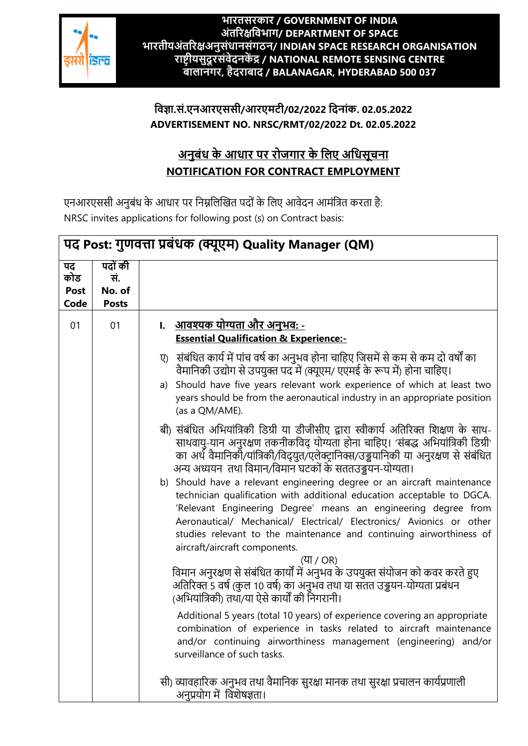

#### **भारतसरकार / GOVERNMENT OF INDIA अंतररक्षविभाग/ DEPARTMENT OF SPACE भारतीयअंतररक्षअनुसंधानसंगठन/ INDIAN SPACE RESEARCH ORGANISATION राष्ट्रीयसुदूरसंिेदनकेंद्र / NATIONAL REMOTE SENSING CENTRE बािानगर, हैदराबाद / BALANAGAR, HYDERABAD 500 037**

#### **विज्ञा.सं.एनआरएससी/आरएमटी/02/2022 वदनांक. 02.05.2022 ADVERTISEMENT NO. NRSC/RMT/02/2022 Dt. 02.05.2022**

# **अनुबंध के आधार पर रोजगार के विए अवधसूचना NOTIFICATION FOR CONTRACT EMPLOYMENT**

एनआरएससी अनुबंध के आधार पर निम्नलिखित पदों के लिए आवेदन आमंत्रित करता है: NRSC invites applications for following post (s) on Contract basis:

| पद Post: गुणवत्ता प्रबंधक (क्यूएम) Quality Manager (QM) |                                          |                                                                                                                                                                                                                                                                                                                                                                                                                                                                                                                                                                                                                                                                                                                                                                                                                                                                                                                                                                                                                                                                                                                                                                                                                                                                                                                                                                                                                                                                                                                                                                                                                                                                  |  |
|---------------------------------------------------------|------------------------------------------|------------------------------------------------------------------------------------------------------------------------------------------------------------------------------------------------------------------------------------------------------------------------------------------------------------------------------------------------------------------------------------------------------------------------------------------------------------------------------------------------------------------------------------------------------------------------------------------------------------------------------------------------------------------------------------------------------------------------------------------------------------------------------------------------------------------------------------------------------------------------------------------------------------------------------------------------------------------------------------------------------------------------------------------------------------------------------------------------------------------------------------------------------------------------------------------------------------------------------------------------------------------------------------------------------------------------------------------------------------------------------------------------------------------------------------------------------------------------------------------------------------------------------------------------------------------------------------------------------------------------------------------------------------------|--|
| पद<br>कोड<br>Post<br>Code                               | पदों की<br>सं.<br>No. of<br><b>Posts</b> |                                                                                                                                                                                                                                                                                                                                                                                                                                                                                                                                                                                                                                                                                                                                                                                                                                                                                                                                                                                                                                                                                                                                                                                                                                                                                                                                                                                                                                                                                                                                                                                                                                                                  |  |
| 01                                                      | 01                                       | <u>।.    आवश्यक योग्यता और अनुभव: -</u><br><b>Essential Qualification &amp; Experience:-</b><br>संबंधित कार्य में पांच वर्ष का अनुभव होना चाहिए जिसमें से कम से कम दो वर्षों का<br>ए)<br>वैमानिकी उद्योग से उपयुक्त पद में (क्यूएम/ एएमई के रूप में) होना चाहिए।<br>a) Should have five years relevant work experience of which at least two<br>years should be from the aeronautical industry in an appropriate position<br>(as a QM/AME).<br>बी) संबंधित अभियांत्रिकी डिग्री या डीजीसीए द्वारा स्वीकार्य अतिरिक्त शिक्षण के साथ-<br>साथवायु-यान अनुरक्षण तकनीकविद् योग्यता होना चाहिए। 'संबद्ध अभियांत्रिकी डिग्री'<br>का अर्थ वैमानिकी/यांत्रिकी/विद्युत/एलेक्ट्रानिक्स/उड्डयानिकी या अनुरक्षण से संबंधित<br>अन्य अध्ययन  तथा विमान/विमान घटकों के सततउड्डयन-योग्यता।<br>b) Should have a relevant engineering degree or an aircraft maintenance<br>technician qualification with additional education acceptable to DGCA.<br>'Relevant Engineering Degree' means an engineering degree from<br>Aeronautical/ Mechanical/ Electrical/ Electronics/ Avionics or other<br>studies relevant to the maintenance and continuing airworthiness of<br>aircraft/aircraft components.<br>(या / OR)<br>विमान अनुरक्षण से संबंधित कार्यों में अनुभव के उपयुक्त संयोजन को कवर करते हुए<br>अतिरिक्त 5 वर्ष (कुल 10 वर्ष) का अनुभव तथा या संतत उड्डयन-योग्यता प्रबंधन<br>(अभियांत्रिकी) तथा/या ऐसे कार्यों की निगरानी।<br>Additional 5 years (total 10 years) of experience covering an appropriate<br>combination of experience in tasks related to aircraft maintenance<br>and/or continuing airworthiness management (engineering) and/or<br>surveillance of such tasks. |  |
|                                                         |                                          | सी) व्यावहारिक अनुभव तथा वैमानिक सुरक्षा मानक तथा सुरक्षा प्रचालन कार्यप्रणाली<br>अनुप्रयोग में विशेषज्ञता।                                                                                                                                                                                                                                                                                                                                                                                                                                                                                                                                                                                                                                                                                                                                                                                                                                                                                                                                                                                                                                                                                                                                                                                                                                                                                                                                                                                                                                                                                                                                                      |  |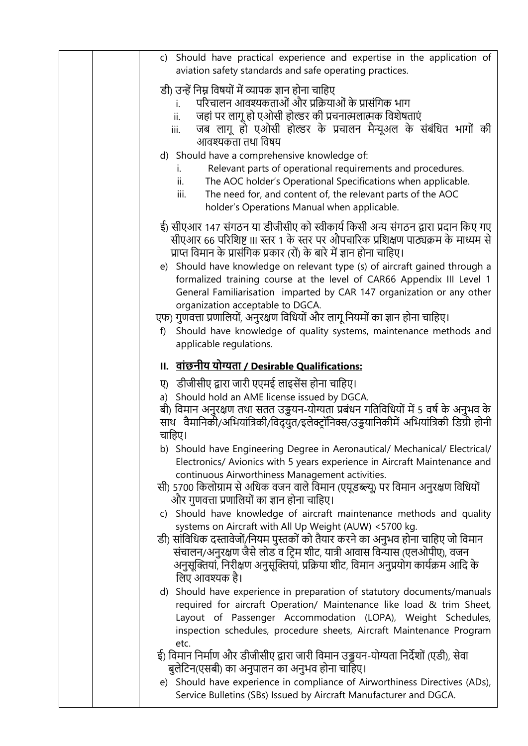| c) Should have practical experience and expertise in the application of<br>aviation safety standards and safe operating practices.                                                                                                                                                                                                                                                                                                                                                                                                                                                                                                                                                                      |
|---------------------------------------------------------------------------------------------------------------------------------------------------------------------------------------------------------------------------------------------------------------------------------------------------------------------------------------------------------------------------------------------------------------------------------------------------------------------------------------------------------------------------------------------------------------------------------------------------------------------------------------------------------------------------------------------------------|
| डी) उन्हें निम्न विषयों में व्यापक ज्ञान होना चाहिए<br>परिचालन आवश्यकताओं और प्रक्रियाओं के प्रासंगिक भाग<br>जहां पर लागू हो एओसी होल्डर की प्रचनात्मलात्मक विशेषताएं<br>ii.<br>जब लागू हो एओसी होल्डर के प्रचालन मैन्यूअल के संबंधित भागों की<br>iii.<br>आवश्यकता तथा विषय<br>d) Should have a comprehensive knowledge of:<br>Relevant parts of operational requirements and procedures.<br>i.<br>The AOC holder's Operational Specifications when applicable.<br>ii.<br>The need for, and content of, the relevant parts of the AOC<br>iii.<br>holder's Operations Manual when applicable.                                                                                                            |
| ई) सीएआर 147 संगठन या डीजीसीए को स्वीकार्य किसी अन्य संगठन द्वारा प्रदान किए गए<br>सीएआर 66 परिशिष्ट III स्तर 1 के स्तर पर औपचारिक प्रशिक्षण पाठ्यक्रम के माध्यम से<br>प्राप्त विमान के प्रासंगिक प्रकार (रों) के बारे में ज्ञान होना चाहिए।<br>e) Should have knowledge on relevant type (s) of aircraft gained through a<br>formalized training course at the level of CAR66 Appendix III Level 1<br>General Familiarisation imparted by CAR 147 organization or any other<br>organization acceptable to DGCA.<br>एफ) गुणवत्ता प्रणालियों, अनुरक्षण विधियों और लागू नियमों का ज्ञान होना चाहिए।<br>Should have knowledge of quality systems, maintenance methods and<br>f)<br>applicable regulations. |
| <u>II. वांछनीय योग्यता / Desirable Qualifications:</u>                                                                                                                                                                                                                                                                                                                                                                                                                                                                                                                                                                                                                                                  |
| ए) डीजीसीए द्वारा जारी एएमई लाइसेंस होना चाहिए।<br>Should hold an AME license issued by DGCA.<br>a)<br>बी) विमान अनुरक्षण तथा सतत उड्डयन-योग्यता प्रबंधन गतिविधियों में 5 वर्ष के अनुभव के<br>साथ वैमानिकी/अभियांत्रिकी/विद्युत/इलेक्ट्रॉनिक्स/उड्डयानिकीमें अभियांत्रिकी डिग्री होनी<br>चाहिए।                                                                                                                                                                                                                                                                                                                                                                                                         |
| b) Should have Engineering Degree in Aeronautical/ Mechanical/ Electrical/<br>Electronics/ Avionics with 5 years experience in Aircraft Maintenance and                                                                                                                                                                                                                                                                                                                                                                                                                                                                                                                                                 |
| continuous Airworthiness Management activities.<br>सी) 5700 किलोग्राम से अधिक वजन वाले विमान (एयूडब्ल्यू) पर विमान अनुरक्षण विधियों<br>और गुणवत्ता प्रणालियों का ज्ञान होना चाहिए।                                                                                                                                                                                                                                                                                                                                                                                                                                                                                                                      |
| c) Should have knowledge of aircraft maintenance methods and quality<br>systems on Aircraft with All Up Weight (AUW) <5700 kg.<br>डी) सांविधिक दस्तावेजों/नियम पुस्तकों को तैयार करने का अनुभव होना चाहिए जो विमान<br>संचालन/अनुरक्षण जैसे लोड व ट्रिम शीट, यात्री आवास विन्यास (एलओपीए), वजन<br>अनुसूक्तियां, निरीक्षण अनुसूक्तियां, प्रक्रिया शीट, विमान अनुप्रयोग कार्यक्रम आदि के<br>लिए आवश्यक है।                                                                                                                                                                                                                                                                                                 |
| d) Should have experience in preparation of statutory documents/manuals<br>required for aircraft Operation/ Maintenance like load & trim Sheet,<br>Layout of Passenger Accommodation (LOPA), Weight Schedules,<br>inspection schedules, procedure sheets, Aircraft Maintenance Program<br>etc.                                                                                                                                                                                                                                                                                                                                                                                                          |
| ई) विमान निर्माण और डीजीसीए द्वारा जारी विमान उड्डयन-योग्यता निर्देशों (एडी), सेवा<br>बुलेटिन(एसबी) का अनुपालन का अनुभव होना चाहिए।<br>e) Should have experience in compliance of Airworthiness Directives (ADs),<br>Service Bulletins (SBs) Issued by Aircraft Manufacturer and DGCA.                                                                                                                                                                                                                                                                                                                                                                                                                  |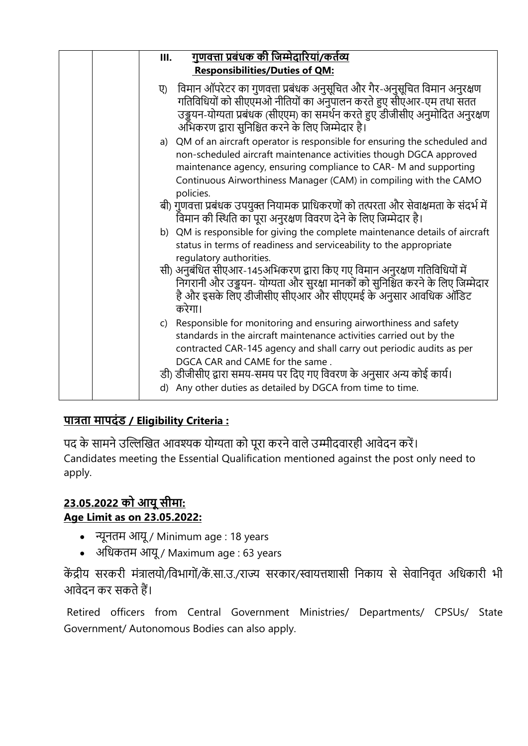| <u>गुणवत्ता प्रबंधक की जिम्मेदारियां/कर्तव्य</u><br>Ш.                                                                                                                                                                                                                                                                                                                                      |
|---------------------------------------------------------------------------------------------------------------------------------------------------------------------------------------------------------------------------------------------------------------------------------------------------------------------------------------------------------------------------------------------|
| <b>Responsibilities/Duties of QM:</b>                                                                                                                                                                                                                                                                                                                                                       |
| विमान ऑपरेटर का गुणवत्ता प्रबंधक अनुसूचित और गैर-अनुसूचित विमान अनुरक्षण<br>ए)<br>गतिविधियों को सीएएमओ नीतियों का अनुपालन करते हुए सीएआर-एम तथा सतत<br>उड्डयन-योग्यता प्रबंधक (सीएएम) का समर्थन करते हुए डीजीसीए अनुमोदित अनुरक्षण<br>अभिकरण द्वारा सुनिश्चित करने के लिए जिम्मेदार है।                                                                                                     |
| a) QM of an aircraft operator is responsible for ensuring the scheduled and<br>non-scheduled aircraft maintenance activities though DGCA approved<br>maintenance agency, ensuring compliance to CAR-M and supporting<br>Continuous Airworthiness Manager (CAM) in compiling with the CAMO<br>policies.                                                                                      |
| बी) गुणवत्ता प्रबंधक उपयुक्त नियामक प्राधिकरणों को तत्परता और सेवाक्षमता के संदर्भ में<br>विमान की स्थिति का पूरा अनुरक्षण विवरण देने के लिए जिम्मेदार है।                                                                                                                                                                                                                                  |
| b) QM is responsible for giving the complete maintenance details of aircraft<br>status in terms of readiness and serviceability to the appropriate<br>regulatory authorities.                                                                                                                                                                                                               |
| सी) अनुबंधित सीएआर-145अभिकरण द्वारा किए गए विमान अनुरक्षण गतिविधियों में<br>निगरानी और उड्डयन- योग्यता और सुरक्षा मानकों को सुनिश्चित करने के लिए जिम्मेदार<br>है और इसके लिए डीजीसीए सीएआर और सीएएमई के अनुसार आवधिक ऑडिट<br>करेगा।                                                                                                                                                        |
| c) Responsible for monitoring and ensuring airworthiness and safety<br>standards in the aircraft maintenance activities carried out by the<br>contracted CAR-145 agency and shall carry out periodic audits as per<br>DGCA CAR and CAME for the same.<br>डी) डीजीसीए द्वारा समय-समय पर दिए गए विवरण के अनुसार अन्य कोई कार्य।<br>d) Any other duties as detailed by DGCA from time to time. |

## **पात्रता मापदंड / Eligibility Criteria :**

पद के सामने उल्लिखित आवश्यक योग्यता को पूरा करने वाले उम्मीदवारही आवेदन करें। Candidates meeting the Essential Qualification mentioned against the post only need to apply.

#### **23.05.2022 को आयू सीमा: Age Limit as on 23.05.2022:**

- न्यूनतम आयू / Minimum age : 18 years
- अनधकतम आयू / Maximum age : 63 years

केंद्रीय सरकरी मंत्रालयो/विभागों/कें.सा.उ./राज्य सरकार/स्वायत्तशासी निकाय से सेवानिवृत अधिकारी भी आवेदन कर सकते हैं।

Retired officers from Central Government Ministries/ Departments/ CPSUs/ State Government/ Autonomous Bodies can also apply.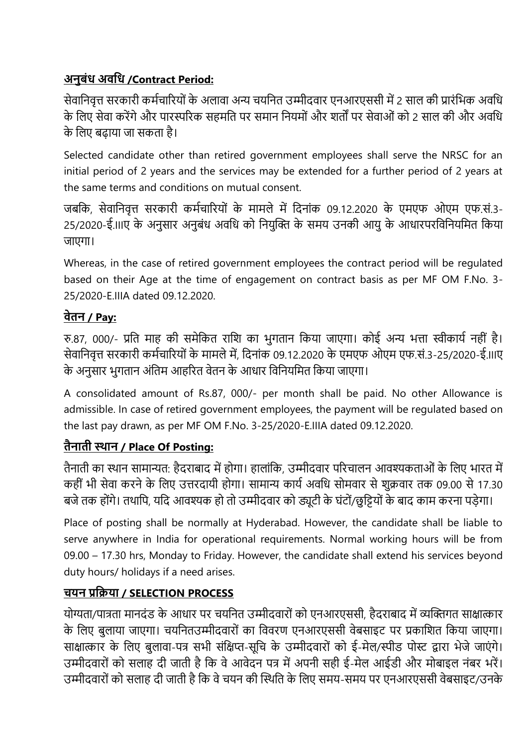# **अनुबंध अिवध /Contract Period:**

सेवानिवृत्त सरकारी कर्मचारियों के अलावा अन्य चयनित उम्मीदवार एनआरएससी में 2 साल की प्रारंभिक अवधि के लिए सेवा करेंगे और पारस्परिक सहमति पर समान नियमों और शर्तों पर सेवाओं को 2 साल की और अवधि के निए बढाया जा सकता है।

Selected candidate other than retired government employees shall serve the NRSC for an initial period of 2 years and the services may be extended for a further period of 2 years at the same terms and conditions on mutual consent.

जबकि, सेवानिवृत्त सरकारी कर्मचारियों के मामले में दिनांक 09.12.2020 के एमएफ ओएम एफ.सं.3-25/2020-ई.IIIए के अनुसार अनुबंध अवनध क ननयुखक्त के समय उनकी आयु के आधारपरनवननयनमत नकया जाएगा।

Whereas, in the case of retired government employees the contract period will be regulated based on their Age at the time of engagement on contract basis as per MF OM F.No. 3- 25/2020-E.IIIA dated 09.12.2020.

# **िेतन / Pay:**

रु.87, 000/- प्रति माह की समेकित राशि का भुगतान किया जाएगा। कोई अन्य भत्ता स्वीकार्य नहीं है। सेवानिवृत्त सरकारी कर्मचारियों के मामले में, दिनांक 09.12.2020 के एमएफ ओएम एफ.सं.3-25/2020-ई.।।।ए के अनुसार भुगतान अंतिम आहरित वेतन के आधार विनियमित किया जाएगा।

A consolidated amount of Rs.87, 000/- per month shall be paid. No other Allowance is admissible. In case of retired government employees, the payment will be regulated based on the last pay drawn, as per MF OM F.No. 3-25/2020-E.IIIA dated 09.12.2020.

## **तैनाती स्थान / Place Of Posting:**

तैनाती का स्थान सामान्यत: हैदराबाद में होगा। हालांकि, उम्मीदवार परिचालन आवश्यकताओं के लिए भारत में कहीं भी सेवा करने के लिए उत्तरदायी होगा। सामान्य कार्य अवधि सोमवार से शक्रवार तक 09.00 से 17.30 बजे तक होंगे। तथापि, यदि आवश्यक हो तो उम्मीदवार को ड्यूटी के घंटों/छुट्टियों के बाद काम करना पडेगा।

Place of posting shall be normally at Hyderabad. However, the candidate shall be liable to serve anywhere in India for operational requirements. Normal working hours will be from 09.00 – 17.30 hrs, Monday to Friday. However, the candidate shall extend his services beyond duty hours/ holidays if a need arises.

## **चयन प्रविया / SELECTION PROCESS**

योग्यता/पात्रता मानदंड के आधार पर चयनित उम्मीदवारों को एनआरएससी, हैदराबाद में व्यक्तिगत साक्षात्कार के लिए बुलाया जाएगा। चयनितउम्मीदवारों का विवरण एनआरएससी वेबसाइट पर प्रकाशित किया जाएगा। साक्षात्कार के लिए बुलावा-पत्र सभी संक्षिप्त-सूचि के उम्मीदवारों को ई-मेल/स्पीड पोस्ट द्वारा भेजे जाएंगे। उम्मीदवारों को सलाह दी जाती है कि वे आवेदन पत्र में अपनी सही ई-मेल आईडी और मोबाइल नंबर भरें। उम्मीदवारों को सलाह दी जाती है कि वे चयन की स्थिति के लिए समय-समय पर एनआरएससी वेबसाइट/उनके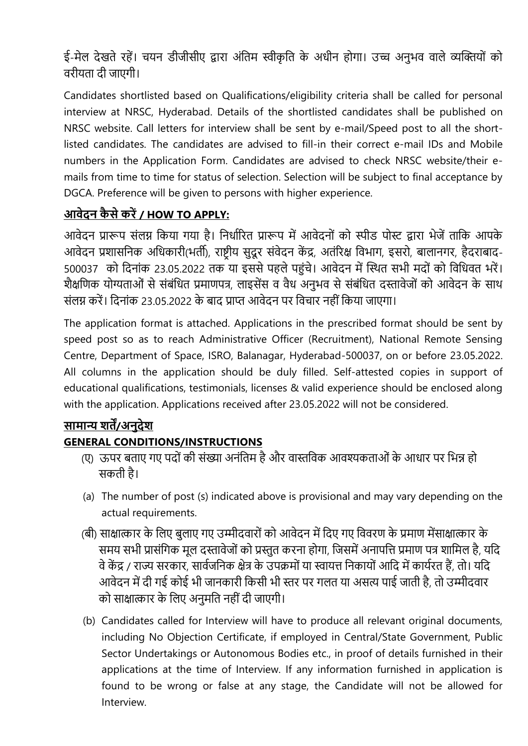ई-मेल देखते रहें। चयन डीजीसीए द्वारा अंतिम स्वीकृति के अधीन होगा। उच्च अनुभव वाले व्यक्तियों को वरीयता दी जाएगी।

Candidates shortlisted based on Qualifications/eligibility criteria shall be called for personal interview at NRSC, Hyderabad. Details of the shortlisted candidates shall be published on NRSC website. Call letters for interview shall be sent by e-mail/Speed post to all the shortlisted candidates. The candidates are advised to fill-in their correct e-mail IDs and Mobile numbers in the Application Form. Candidates are advised to check NRSC website/their emails from time to time for status of selection. Selection will be subject to final acceptance by DGCA. Preference will be given to persons with higher experience.

# **आिेदन कै से करें/ HOW TO APPLY:**

आवेदन प्रारूप संलग्न किया गया है। निर्धारित प्रारूप में आवेदनों को स्पीड पोस्ट द्वारा भेजें ताकि आपके आवेदन प्रशासनिक अधिकारी(भर्ती), राष्ट्रीय सुदूर संवेदन केंद्र, अतंरिक्ष विभाग, इसरो, बालानगर, हैदराबाद-500037 को दिनांक 23.05.2022 तक या इससे पहले पहुंचे। आवेदन में स्थित सभी मदों को विधिवत भरें। शैक्षणिक योग्यताओं से संबंधित प्रमाणपत्र, लाइसेंस व वैध अनुभव से संबंधित दस्तावेजों को आवेदन के साथ संलग्न करें। दिनांक 23.05.2022 के बाद प्राप्त आवेदन पर विचार नहीं किया जाएगा।

The application format is attached. Applications in the prescribed format should be sent by speed post so as to reach Administrative Officer (Recruitment), National Remote Sensing Centre, Department of Space, ISRO, Balanagar, Hyderabad-500037, on or before 23.05.2022. All columns in the application should be duly filled. Self-attested copies in support of educational qualifications, testimonials, licenses & valid experience should be enclosed along with the application. Applications received after 23.05.2022 will not be considered.

# **सामान्य शतें/अनुदेश**

## **GENERAL CONDITIONS/INSTRUCTIONS**

- (ए) ऊपर बताए गए पदों की संख्या अनंतिम है और वास्तविक आवश्यकताओं के आधार पर भिन्न हो सकती है।
- (a) The number of post (s) indicated above is provisional and may vary depending on the actual requirements.
- (बी) साक्षात्कार के लिए बुलाए गए उम्मीदवारों को आवेदन में दिए गए विवरण के प्रमाण मेंसाक्षात्कार के समय सभी प्रासंगिक मूल दस्तावेजों को प्रस्तुत करना होगा, जिसमें अनापत्ति प्रमाण पत्र शामिल है, यदि वे केंद्र / राज्य सरकार, सार्वजनिक क्षेत्र के उपक्रमों या स्वायत्त निकायों आदि में कार्यरत हैं, तो। यदि आवेदन में दी गई कोई भी जानकारी किसी भी स्तर पर गलत या असत्य पाई जाती है, तो उम्मीदवार को साक्षात्कार के लिए अनुमति नहीं दी जाएगी।
- (b) Candidates called for Interview will have to produce all relevant original documents, including No Objection Certificate, if employed in Central/State Government, Public Sector Undertakings or Autonomous Bodies etc., in proof of details furnished in their applications at the time of Interview. If any information furnished in application is found to be wrong or false at any stage, the Candidate will not be allowed for Interview.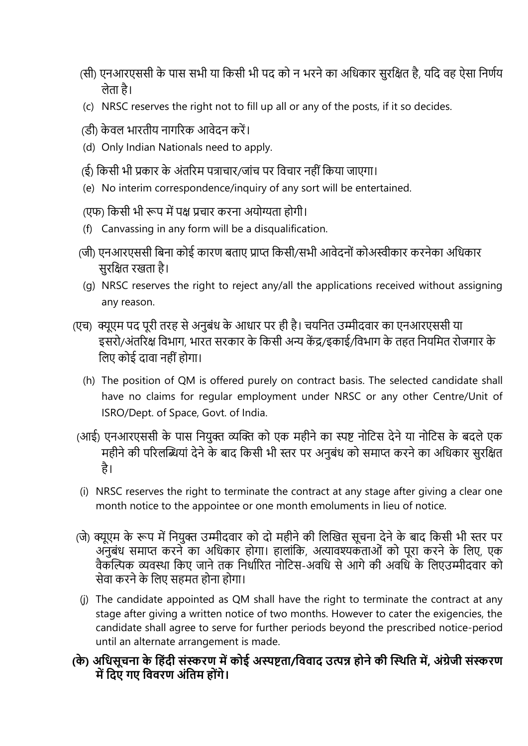- (सी) एनआरएससी के पास सभी या किसी भी पद को न भरने का अधिकार सुरक्षित है, यदि वह ऐसा निर्णय िेता है।
- (c) NRSC reserves the right not to fill up all or any of the posts, if it so decides.
- (डी) केवल भारतीय नागरिक आवेदन करें।
- (d) Only Indian Nationals need to apply.
- (ई) किसी भी प्रकार के अंतरिम पत्राचार/जांच पर विचार नहीं किया जाएगा।
- (e) No interim correspondence/inquiry of any sort will be entertained.
- (एफ) किसी भी रूप में पक्ष प्रचार करना अयोग्यता होगी।
- (f) Canvassing in any form will be a disqualification.
- (जी) एनआरएससी बिना कोई कारण बताए प्राप्त किसी/सभी आवेदनों कोअस्वीकार करनेका अधिकार सुरक्षित रखता है।
- (g) NRSC reserves the right to reject any/all the applications received without assigning any reason.
- (एच) क्यूएम पद पूरी तरह से अनुबंध के आधार पर ही है। चयननत उम्मीदवार का एनआरएससी या इसरो/अंतरिक्ष विभाग, भारत सरकार के किसी अन्य केंद्र/इकाई/विभाग के तहत नियमित रोजगार के लिए कोई दावा नहीं होगा।
	- (h) The position of QM is offered purely on contract basis. The selected candidate shall have no claims for regular employment under NRSC or any other Centre/Unit of ISRO/Dept. of Space, Govt. of India.
- (आई) एनआरएससी के पास नियुक्त व्यक्ति को एक महीने का स्पष्ट नोटिस देने या नोटिस के बदले एक महीने की परिलब्धियां देने के बाद किसी भी स्तर पर अनुबंध को समाप्त करने का अधिकार सुरक्षित है।
- (i) NRSC reserves the right to terminate the contract at any stage after giving a clear one month notice to the appointee or one month emoluments in lieu of notice.
- (जे) क्यूएम के रूप में नियुक्त उम्मीदवार को दो महीने की लिखित सूचना देने के बाद किसी भी स्तर पर अनुबंध समाप्त करने का अधिकार होगा। हालांकि, अत्यावश्यकताओं को पूरा करने के लिए, एक वैकल्पिक व्यवस्था किए जाने तक निर्धारित नोटिस-अवधि से आगे की अवधि के लिएउम्मीदवार को सेवा करने के लिए सहमत होना होगा।
- (j) The candidate appointed as QM shall have the right to terminate the contract at any stage after giving a written notice of two months. However to cater the exigencies, the candidate shall agree to serve for further periods beyond the prescribed notice-period until an alternate arrangement is made.
- **(के) अवधसूचना के वहंदी संस्करण मेंकोई अस्पष्ट्ता/वििाद उत्पन्न होने की स्स्थवत में, अंग्रेजी संस्करण में वदए गए वििरण अंवतम होंगे।**